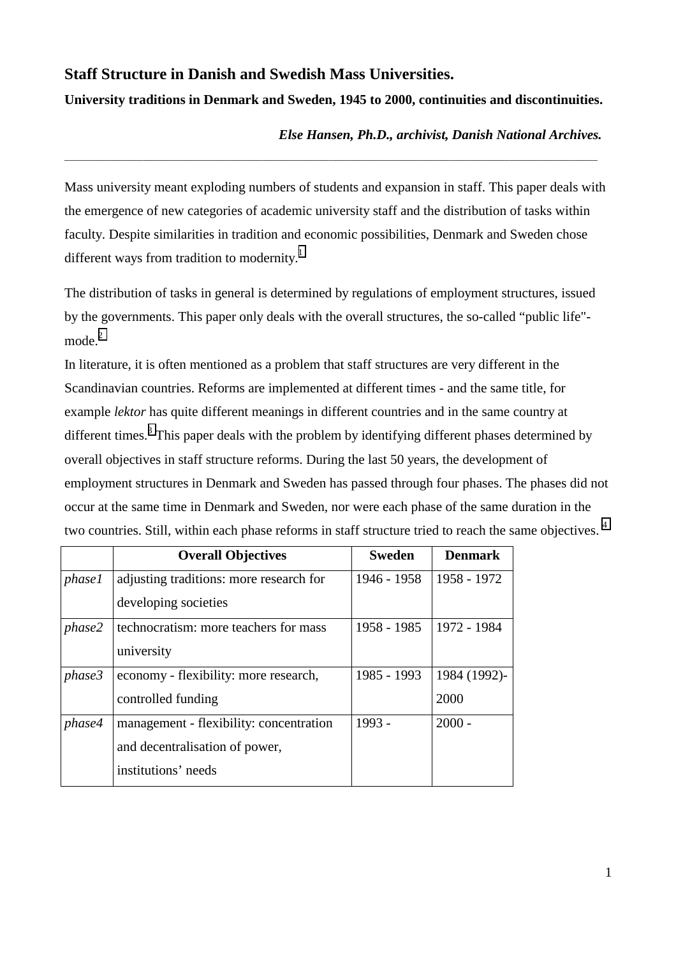# **Staff Structure in Danish and Swedish Mass Universities.**

## **University traditions in Denmark and Sweden, 1945 to 2000, continuities and discontinuities.**

\_\_\_\_\_\_\_\_\_\_\_\_\_\_\_\_\_\_\_\_\_\_\_\_\_\_\_\_\_\_\_\_\_\_\_\_\_\_\_\_\_\_\_\_\_\_\_\_\_\_\_\_\_\_\_\_\_\_\_\_\_\_\_\_\_\_\_\_\_\_\_\_\_\_\_\_\_\_\_\_\_\_\_\_\_\_\_\_\_\_\_\_\_\_\_\_\_\_\_\_\_\_\_\_\_\_\_\_\_\_\_\_\_\_\_

## *Else Hansen, Ph.D., archivist, Danish National Archives.*

Mass university meant exploding numbers of students and expansion in staff. This paper deals with the emergence of new categories of academic university staff and the distribution of tasks within faculty. Despite similarities in tradition and economic possibilities, Denmark and Sweden chose different ways from tradition to modernity.<sup>[1](#page-8-0)</sup>

The distribution of tasks in general is determined by regulations of employment structures, issued by the governments. This paper only deals with the overall structures, the so-called "public life"- mode.<sup>[2](#page-8-0)</sup>

In literature, it is often mentioned as a problem that staff structures are very different in the Scandinavian countries. Reforms are implemented at different times - and the same title, for example *lektor* has quite different meanings in different countries and in the same country at different times.<sup>[3](#page-8-0)</sup> This paper deals with the problem by identifying different phases determined by overall objectives in staff structure reforms. During the last 50 years, the development of employment structures in Denmark and Sweden has passed through four phases. The phases did not occur at the same time in Denmark and Sweden, nor were each phase of the same duration in the two countries. Still, within each phase reforms in staff structure tried to reach the same objectives.<sup>4</sup>

|               | <b>Overall Objectives</b>               | <b>Sweden</b> | <b>Denmark</b> |
|---------------|-----------------------------------------|---------------|----------------|
| <i>phase1</i> | adjusting traditions: more research for | 1946 - 1958   | 1958 - 1972    |
|               | developing societies                    |               |                |
| phase2        | technocratism: more teachers for mass   | 1958 - 1985   | 1972 - 1984    |
|               | university                              |               |                |
| phase3        | economy - flexibility: more research,   | 1985 - 1993   | 1984 (1992)-   |
|               | controlled funding                      |               | 2000           |
| phase4        | management - flexibility: concentration | 1993 -        | $2000 -$       |
|               | and decentralisation of power,          |               |                |
|               | institutions' needs                     |               |                |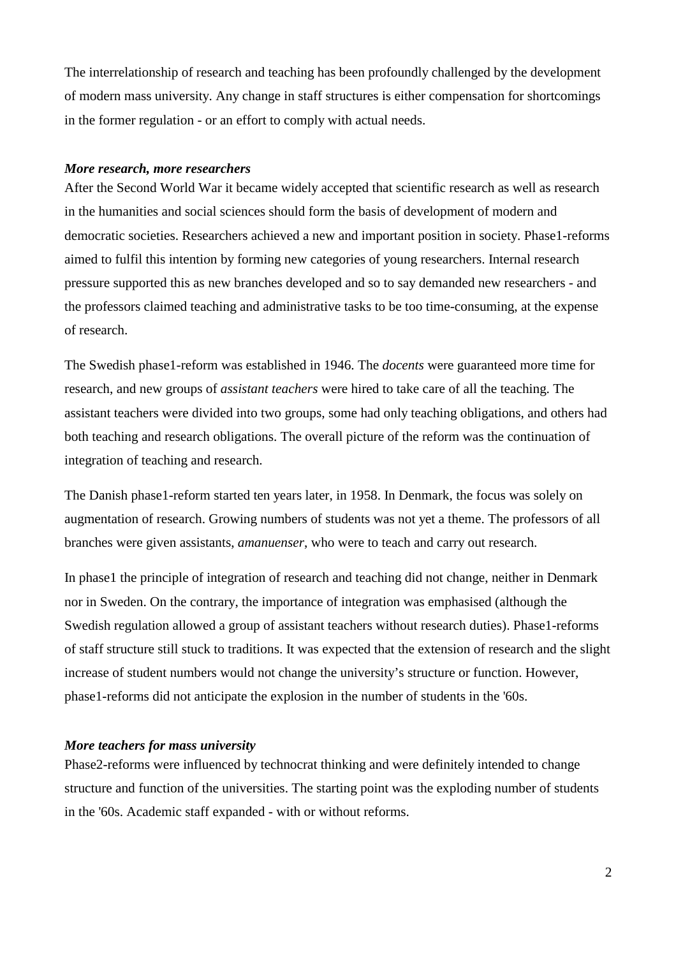The interrelationship of research and teaching has been profoundly challenged by the development of modern mass university. Any change in staff structures is either compensation for shortcomings in the former regulation - or an effort to comply with actual needs.

## *More research, more researchers*

After the Second World War it became widely accepted that scientific research as well as research in the humanities and social sciences should form the basis of development of modern and democratic societies. Researchers achieved a new and important position in society. Phase1-reforms aimed to fulfil this intention by forming new categories of young researchers. Internal research pressure supported this as new branches developed and so to say demanded new researchers - and the professors claimed teaching and administrative tasks to be too time-consuming, at the expense of research.

The Swedish phase1-reform was established in 1946. The *docents* were guaranteed more time for research, and new groups of *assistant teachers* were hired to take care of all the teaching. The assistant teachers were divided into two groups, some had only teaching obligations, and others had both teaching and research obligations. The overall picture of the reform was the continuation of integration of teaching and research.

The Danish phase1-reform started ten years later, in 1958. In Denmark, the focus was solely on augmentation of research. Growing numbers of students was not yet a theme. The professors of all branches were given assistants, *amanuenser*, who were to teach and carry out research.

In phase1 the principle of integration of research and teaching did not change, neither in Denmark nor in Sweden. On the contrary, the importance of integration was emphasised (although the Swedish regulation allowed a group of assistant teachers without research duties). Phase1-reforms of staff structure still stuck to traditions. It was expected that the extension of research and the slight increase of student numbers would not change the university's structure or function. However, phase1-reforms did not anticipate the explosion in the number of students in the '60s.

## *More teachers for mass university*

Phase2-reforms were influenced by technocrat thinking and were definitely intended to change structure and function of the universities. The starting point was the exploding number of students in the '60s. Academic staff expanded - with or without reforms.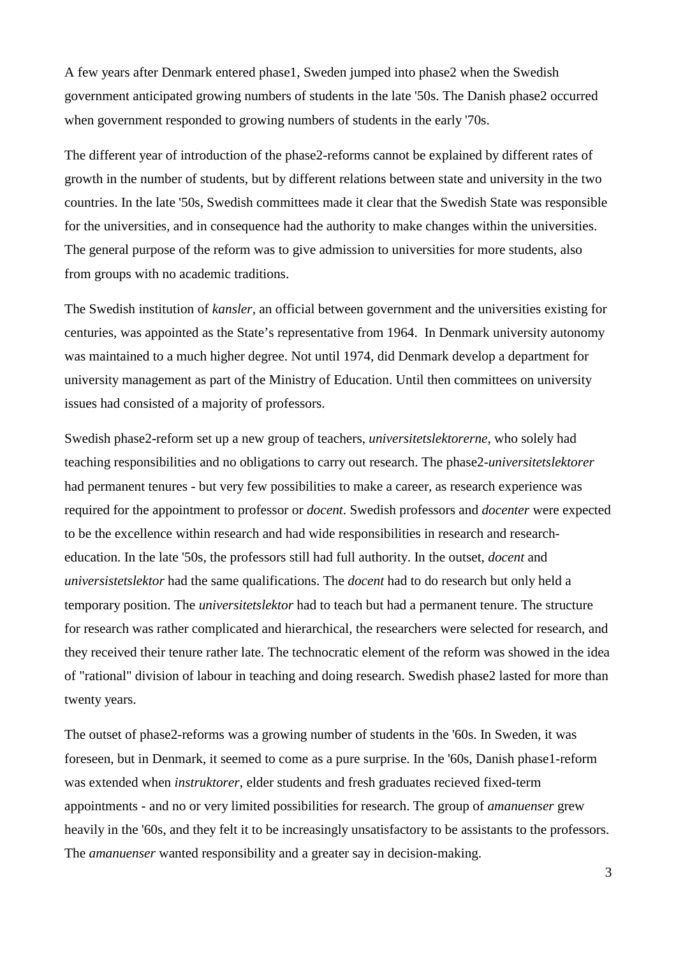A few years after Denmark entered phase1, Sweden jumped into phase2 when the Swedish government anticipated growing numbers of students in the late '50s. The Danish phase2 occurred when government responded to growing numbers of students in the early '70s.

The different year of introduction of the phase2-reforms cannot be explained by different rates of growth in the number of students, but by different relations between state and university in the two countries. In the late '50s, Swedish committees made it clear that the Swedish State was responsible for the universities, and in consequence had the authority to make changes within the universities. The general purpose of the reform was to give admission to universities for more students, also from groups with no academic traditions.

The Swedish institution of *kansler,* an official between government and the universities existing for centuries, was appointed as the State's representative from 1964. In Denmark university autonomy was maintained to a much higher degree. Not until 1974, did Denmark develop a department for university management as part of the Ministry of Education. Until then committees on university issues had consisted of a majority of professors.

Swedish phase2-reform set up a new group of teachers, *universitetslektorerne*, who solely had teaching responsibilities and no obligations to carry out research. The phase2-*universitetslektorer* had permanent tenures - but very few possibilities to make a career, as research experience was required for the appointment to professor or *docent*. Swedish professors and *docenter* were expected to be the excellence within research and had wide responsibilities in research and researcheducation. In the late '50s, the professors still had full authority. In the outset, *docent* and *universistetslektor* had the same qualifications. The *docent* had to do research but only held a temporary position. The *universitetslektor* had to teach but had a permanent tenure. The structure for research was rather complicated and hierarchical, the researchers were selected for research, and they received their tenure rather late. The technocratic element of the reform was showed in the idea of "rational" division of labour in teaching and doing research. Swedish phase2 lasted for more than twenty years.

The outset of phase2-reforms was a growing number of students in the '60s. In Sweden, it was foreseen, but in Denmark, it seemed to come as a pure surprise. In the '60s, Danish phase1-reform was extended when *instruktorer*, elder students and fresh graduates recieved fixed-term appointments - and no or very limited possibilities for research. The group of *amanuenser* grew heavily in the '60s, and they felt it to be increasingly unsatisfactory to be assistants to the professors. The *amanuenser* wanted responsibility and a greater say in decision-making.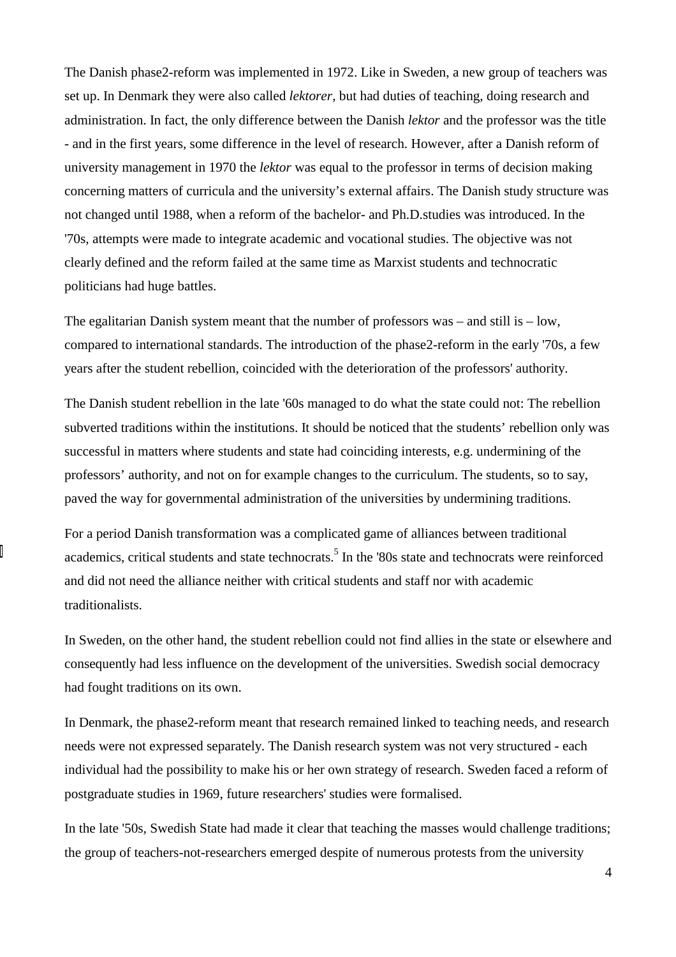The Danish phase2-reform was implemented in 1972. Like in Sweden, a new group of teachers was set up. In Denmark they were also called *lektorer*, but had duties of teaching, doing research and administration. In fact, the only difference between the Danish *lektor* and the professor was the title - and in the first years, some difference in the level of research. However, after a Danish reform of university management in 1970 the *lektor* was equal to the professor in terms of decision making concerning matters of curricula and the university's external affairs. The Danish study structure was not changed until 1988, when a reform of the bachelor- and Ph.D.studies was introduced. In the '70s, attempts were made to integrate academic and vocational studies. The objective was not clearly defined and the reform failed at the same time as Marxist students and technocratic politicians had huge battles.

The egalitarian Danish system meant that the number of professors was – and still is – low, compared to international standards. The introduction of the phase2-reform in the early '70s, a few years after the student rebellion, coincided with the deterioration of the professors' authority.

The Danish student rebellion in the late '60s managed to do what the state could not: The rebellion subverted traditions within the institutions. It should be noticed that the students' rebellion only was successful in matters where students and state had coinciding interests, e.g. undermining of the professors' authority, and not on for example changes to the curriculum. The students, so to say, paved the way for governmental administration of the universities by undermining traditions.

For a period Danish transformation was a complicated game of alliances between traditional academics, critical students and state technocrats.<sup>5</sup> In the '80s state and technocrats were reinforced and did not need the alliance neither with critical students and staff nor with academic traditionalists.

In Sweden, on the other hand, the student rebellion could not find allies in the state or elsewhere and consequently had less influence on the development of the universities. Swedish social democracy had fought traditions on its own.

In Denmark, the phase2-reform meant that research remained linked to teaching needs, and research needs were not expressed separately. The Danish research system was not very structured - each individual had the possibility to make his or her own strategy of research. Sweden faced a reform of postgraduate studies in 1969, future researchers' studies were formalised.

In the late '50s, Swedish State had made it clear that teaching the masses would challenge traditions; the group of teachers-not-researchers emerged despite of numerous protests from the university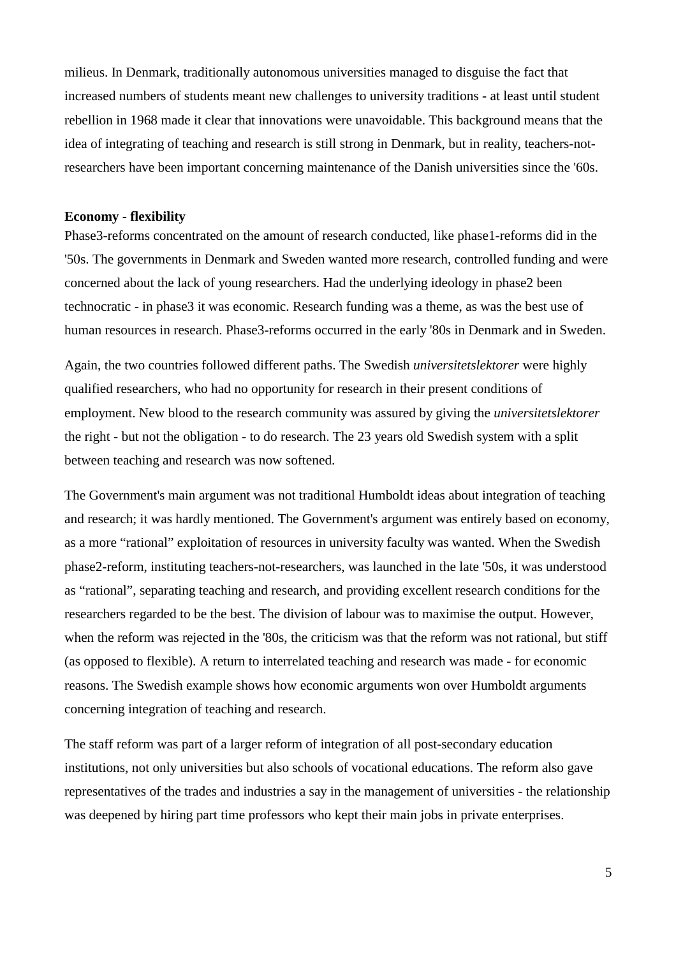milieus. In Denmark, traditionally autonomous universities managed to disguise the fact that increased numbers of students meant new challenges to university traditions - at least until student rebellion in 1968 made it clear that innovations were unavoidable. This background means that the idea of integrating of teaching and research is still strong in Denmark, but in reality, teachers-notresearchers have been important concerning maintenance of the Danish universities since the '60s.

#### **Economy - flexibility**

Phase3-reforms concentrated on the amount of research conducted, like phase1-reforms did in the '50s. The governments in Denmark and Sweden wanted more research, controlled funding and were concerned about the lack of young researchers. Had the underlying ideology in phase2 been technocratic - in phase3 it was economic. Research funding was a theme, as was the best use of human resources in research. Phase3-reforms occurred in the early '80s in Denmark and in Sweden.

Again, the two countries followed different paths. The Swedish *universitetslektorer* were highly qualified researchers, who had no opportunity for research in their present conditions of employment. New blood to the research community was assured by giving the *universitetslektorer* the right - but not the obligation - to do research. The 23 years old Swedish system with a split between teaching and research was now softened.

The Government's main argument was not traditional Humboldt ideas about integration of teaching and research; it was hardly mentioned. The Government's argument was entirely based on economy, as a more "rational" exploitation of resources in university faculty was wanted. When the Swedish phase2-reform, instituting teachers-not-researchers, was launched in the late '50s, it was understood as "rational", separating teaching and research, and providing excellent research conditions for the researchers regarded to be the best. The division of labour was to maximise the output. However, when the reform was rejected in the '80s, the criticism was that the reform was not rational, but stiff (as opposed to flexible). A return to interrelated teaching and research was made - for economic reasons. The Swedish example shows how economic arguments won over Humboldt arguments concerning integration of teaching and research.

The staff reform was part of a larger reform of integration of all post-secondary education institutions, not only universities but also schools of vocational educations. The reform also gave representatives of the trades and industries a say in the management of universities - the relationship was deepened by hiring part time professors who kept their main jobs in private enterprises.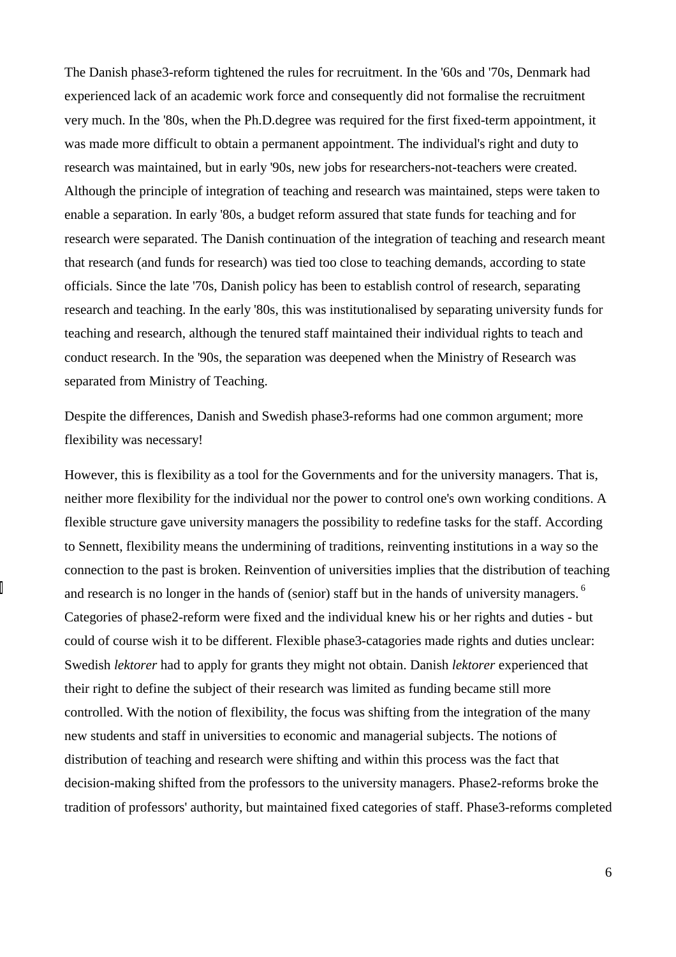The Danish phase3-reform tightened the rules for recruitment. In the '60s and '70s, Denmark had experienced lack of an academic work force and consequently did not formalise the recruitment very much. In the '80s, when the Ph.D.degree was required for the first fixed-term appointment, it was made more difficult to obtain a permanent appointment. The individual's right and duty to research was maintained, but in early '90s, new jobs for researchers-not-teachers were created. Although the principle of integration of teaching and research was maintained, steps were taken to enable a separation. In early '80s, a budget reform assured that state funds for teaching and for research were separated. The Danish continuation of the integration of teaching and research meant that research (and funds for research) was tied too close to teaching demands, according to state officials. Since the late '70s, Danish policy has been to establish control of research, separating research and teaching. In the early '80s, this was institutionalised by separating university funds for teaching and research, although the tenured staff maintained their individual rights to teach and conduct research. In the '90s, the separation was deepened when the Ministry of Research was separated from Ministry of Teaching.

Despite the differences, Danish and Swedish phase3-reforms had one common argument; more flexibility was necessary!

However, this is flexibility as a tool for the Governments and for the university managers. That is, neither more flexibility for the individual nor the power to control one's own working conditions. A flexible structure gave university managers the possibility to redefine tasks for the staff. According to Sennett, flexibility means the undermining of traditions, reinventing institutions in a way so the connection to the past is broken. Reinvention of universities implies that the distribution of teaching and research is no longer in the hands of (senior) staff but in the hands of university managers.<sup>6</sup> Categories of phase2-reform were fixed and the individual knew his or her rights and duties - but could of course wish it to be different. Flexible phase3-catagories made rights and duties unclear: Swedish *lektorer* had to apply for grants they might not obtain. Danish *lektorer* experienced that their right to define the subject of their research was limited as funding became still more controlled. With the notion of flexibility, the focus was shifting from the integration of the many new students and staff in universities to economic and managerial subjects. The notions of distribution of teaching and research were shifting and within this process was the fact that decision-making shifted from the professors to the university managers. Phase2-reforms broke the tradition of professors' authority, but maintained fixed categories of staff. Phase3-reforms completed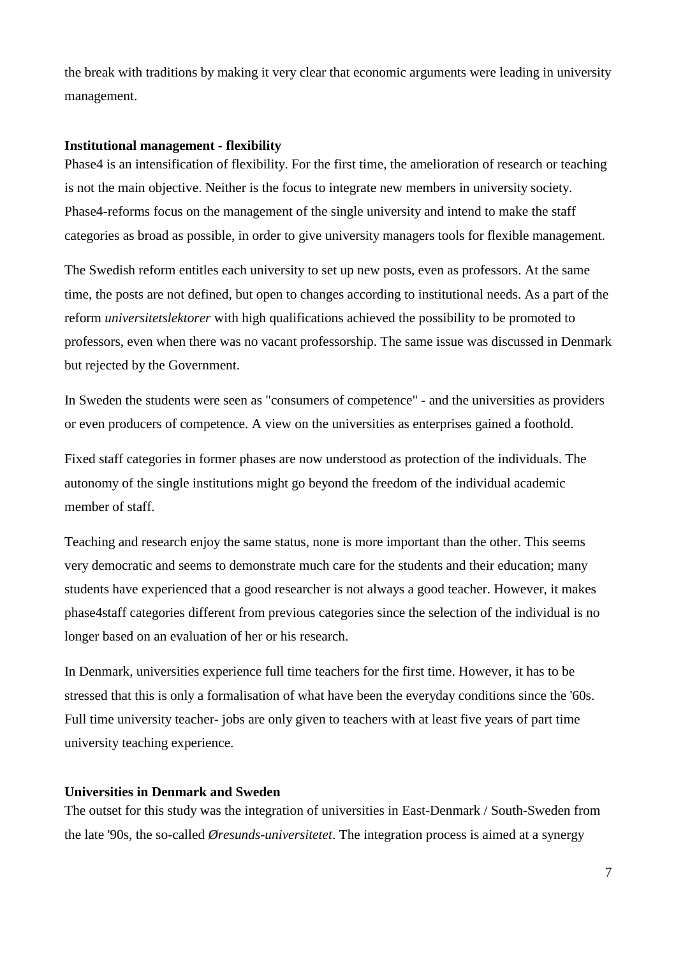the break with traditions by making it very clear that economic arguments were leading in university management.

#### **Institutional management - flexibility**

Phase4 is an intensification of flexibility. For the first time, the amelioration of research or teaching is not the main objective. Neither is the focus to integrate new members in university society. Phase4-reforms focus on the management of the single university and intend to make the staff categories as broad as possible, in order to give university managers tools for flexible management.

The Swedish reform entitles each university to set up new posts, even as professors. At the same time, the posts are not defined, but open to changes according to institutional needs. As a part of the reform *universitetslektorer* with high qualifications achieved the possibility to be promoted to professors, even when there was no vacant professorship. The same issue was discussed in Denmark but rejected by the Government.

In Sweden the students were seen as "consumers of competence" - and the universities as providers or even producers of competence. A view on the universities as enterprises gained a foothold.

Fixed staff categories in former phases are now understood as protection of the individuals. The autonomy of the single institutions might go beyond the freedom of the individual academic member of staff.

Teaching and research enjoy the same status, none is more important than the other. This seems very democratic and seems to demonstrate much care for the students and their education; many students have experienced that a good researcher is not always a good teacher. However, it makes phase4staff categories different from previous categories since the selection of the individual is no longer based on an evaluation of her or his research.

In Denmark, universities experience full time teachers for the first time. However, it has to be stressed that this is only a formalisation of what have been the everyday conditions since the '60s. Full time university teacher- jobs are only given to teachers with at least five years of part time university teaching experience.

## **Universities in Denmark and Sweden**

The outset for this study was the integration of universities in East-Denmark / South-Sweden from the late '90s, the so-called *Øresunds-universitetet*. The integration process is aimed at a synergy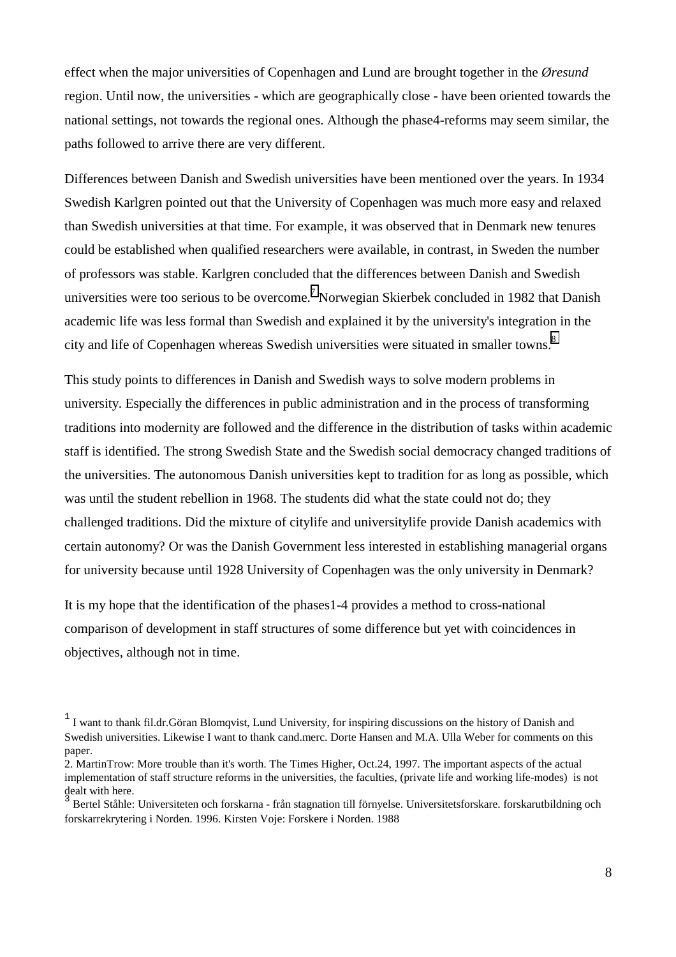effect when the major universities of Copenhagen and Lund are brought together in the *Øresund* region. Until now, the universities - which are geographically close - have been oriented towards the national settings, not towards the regional ones. Although the phase4-reforms may seem similar, the paths followed to arrive there are very different.

Differences between Danish and Swedish universities have been mentioned over the years. In 1934 Swedish Karlgren pointed out that the University of Copenhagen was much more easy and relaxed than Swedish universities at that time. For example, it was observed that in Denmark new tenures could be established when qualified researchers were available, in contrast, in Sweden the number of professors was stable. Karlgren concluded that the differences between Danish and Swedish universities were too serious to be overcome.<sup>[7](#page-8-0)</sup> Norwegian Skierbek concluded in 1982 that Danish academic life was less formal than Swedish and explained it by the university's integration in the city and life of Copenhagen whereas Swedish universities were situated in smaller towns.<sup>[8](#page-8-0)</sup>

This study points to differences in Danish and Swedish ways to solve modern problems in university. Especially the differences in public administration and in the process of transforming traditions into modernity are followed and the difference in the distribution of tasks within academic staff is identified. The strong Swedish State and the Swedish social democracy changed traditions of the universities. The autonomous Danish universities kept to tradition for as long as possible, which was until the student rebellion in 1968. The students did what the state could not do; they challenged traditions. Did the mixture of citylife and universitylife provide Danish academics with certain autonomy? Or was the Danish Government less interested in establishing managerial organs for university because until 1928 University of Copenhagen was the only university in Denmark?

It is my hope that the identification of the phases1-4 provides a method to cross-national comparison of development in staff structures of some difference but yet with coincidences in objectives, although not in time.

<sup>&</sup>lt;sup>1</sup> I want to thank fil.dr.Göran Blomqvist, Lund University, for inspiring discussions on the history of Danish and Swedish universities. Likewise I want to thank cand.merc. Dorte Hansen and M.A. Ulla Weber for comments on this paper.

<sup>2.</sup> MartinTrow: More trouble than it's worth. The Times Higher, Oct.24, 1997. The important aspects of the actual implementation of staff structure reforms in the universities, the faculties, (private life and working life-modes) is not dealt with here. 3

Bertel Ståhle: Universiteten och forskarna - från stagnation till förnyelse. Universitetsforskare. forskarutbildning och forskarrekrytering i Norden. 1996. Kirsten Voje: Forskere i Norden. 1988